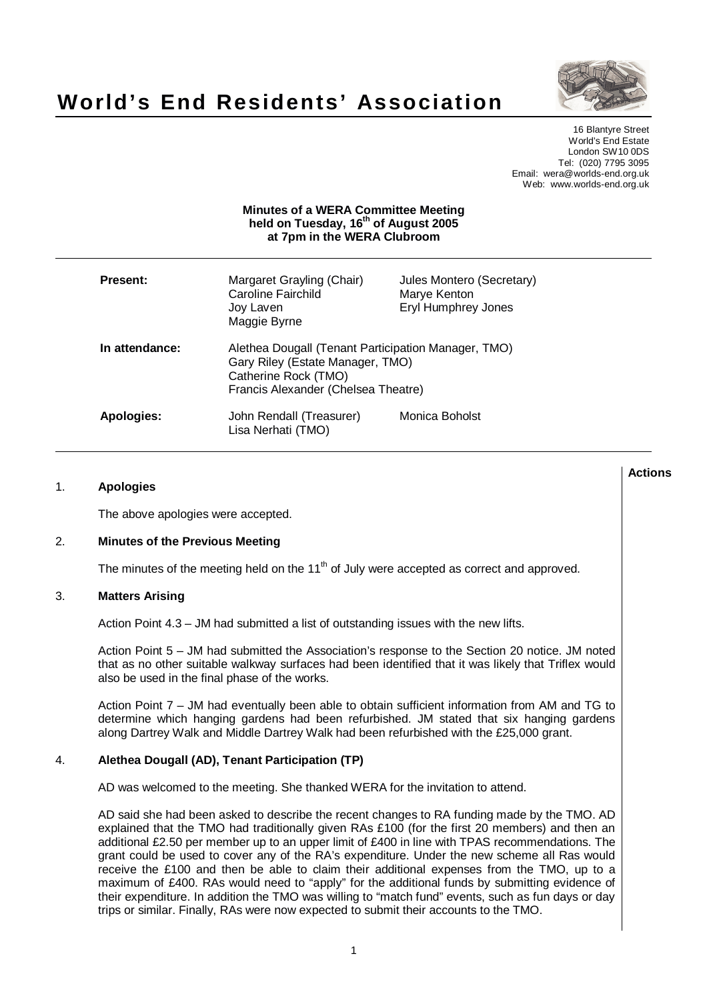



16 Blantyre Street World's End Estate London SW10 0DS Tel: (020) 7795 3095 Email: wera@worlds-end.org.uk Web: www.worlds-end.org.uk

## **Minutes of a WERA Committee Meeting held on Tuesday, 16 th of August 2005 at 7pm in the WERA Clubroom**

| <b>Present:</b>   | Margaret Grayling (Chair)<br>Caroline Fairchild<br>Joy Laven<br>Maggie Byrne                                                                           | Jules Montero (Secretary)<br>Marye Kenton<br>Eryl Humphrey Jones |
|-------------------|--------------------------------------------------------------------------------------------------------------------------------------------------------|------------------------------------------------------------------|
| In attendance:    | Alethea Dougall (Tenant Participation Manager, TMO)<br>Gary Riley (Estate Manager, TMO)<br>Catherine Rock (TMO)<br>Francis Alexander (Chelsea Theatre) |                                                                  |
| <b>Apologies:</b> | John Rendall (Treasurer)<br>Lisa Nerhati (TMO)                                                                                                         | Monica Boholst                                                   |

## 1. **Apologies**

The above apologies were accepted.

## 2. **Minutes of the Previous Meeting**

The minutes of the meeting held on the 11<sup>th</sup> of July were accepted as correct and approved.

## 3. **Matters Arising**

Action Point 4.3 – JM had submitted a list of outstanding issues with the new lifts.

Action Point 5 – JM had submitted the Association's response to the Section 20 notice. JM noted that as no other suitable walkway surfaces had been identified that it was likely that Triflex would also be used in the final phase of the works.

Action Point 7 – JM had eventually been able to obtain sufficient information from AM and TG to determine which hanging gardens had been refurbished. JM stated that six hanging gardens along Dartrey Walk and Middle Dartrey Walk had been refurbished with the £25,000 grant.

## 4. **Alethea Dougall (AD), Tenant Participation (TP)**

AD was welcomed to the meeting. She thanked WERA for the invitation to attend.

AD said she had been asked to describe the recent changes to RA funding made by the TMO. AD explained that the TMO had traditionally given RAs £100 (for the first 20 members) and then an additional £2.50 per member up to an upper limit of £400 in line with TPAS recommendations. The grant could be used to cover any of the RA's expenditure. Under the new scheme all Ras would receive the £100 and then be able to claim their additional expenses from the TMO, up to a maximum of £400. RAs would need to "apply" for the additional funds by submitting evidence of their expenditure. In addition the TMO was willing to "match fund" events, such as fun days or day trips or similar. Finally, RAs were now expected to submit their accounts to the TMO.

**Actions**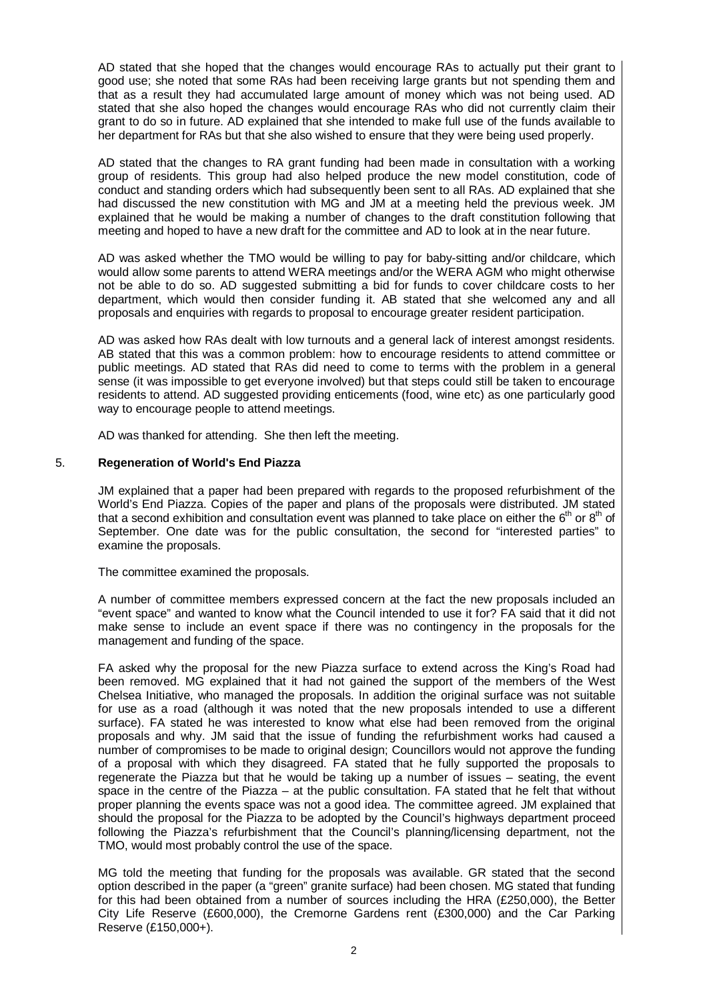AD stated that she hoped that the changes would encourage RAs to actually put their grant to good use; she noted that some RAs had been receiving large grants but not spending them and that as a result they had accumulated large amount of money which was not being used. AD stated that she also hoped the changes would encourage RAs who did not currently claim their grant to do so in future. AD explained that she intended to make full use of the funds available to her department for RAs but that she also wished to ensure that they were being used properly.

AD stated that the changes to RA grant funding had been made in consultation with a working group of residents. This group had also helped produce the new model constitution, code of conduct and standing orders which had subsequently been sent to all RAs. AD explained that she had discussed the new constitution with MG and JM at a meeting held the previous week. JM explained that he would be making a number of changes to the draft constitution following that meeting and hoped to have a new draft for the committee and AD to look at in the near future.

AD was asked whether the TMO would be willing to pay for baby-sitting and/or childcare, which would allow some parents to attend WERA meetings and/or the WERA AGM who might otherwise not be able to do so. AD suggested submitting a bid for funds to cover childcare costs to her department, which would then consider funding it. AB stated that she welcomed any and all proposals and enquiries with regards to proposal to encourage greater resident participation.

AD was asked how RAs dealt with low turnouts and a general lack of interest amongst residents. AB stated that this was a common problem: how to encourage residents to attend committee or public meetings. AD stated that RAs did need to come to terms with the problem in a general sense (it was impossible to get everyone involved) but that steps could still be taken to encourage residents to attend. AD suggested providing enticements (food, wine etc) as one particularly good way to encourage people to attend meetings.

AD was thanked for attending. She then left the meeting.

# 5. **Regeneration of World's End Piazza**

JM explained that a paper had been prepared with regards to the proposed refurbishment of the World's End Piazza. Copies of the paper and plans of the proposals were distributed. JM stated that a second exhibition and consultation event was planned to take place on either the 6<sup>th</sup> or 8<sup>th</sup> of September. One date was for the public consultation, the second for "interested parties" to examine the proposals.

The committee examined the proposals.

A number of committee members expressed concern at the fact the new proposals included an "event space" and wanted to know what the Council intended to use it for? FA said that it did not make sense to include an event space if there was no contingency in the proposals for the management and funding of the space.

FA asked why the proposal for the new Piazza surface to extend across the King's Road had been removed. MG explained that it had not gained the support of the members of the West Chelsea Initiative, who managed the proposals. In addition the original surface was not suitable for use as a road (although it was noted that the new proposals intended to use a different surface). FA stated he was interested to know what else had been removed from the original proposals and why. JM said that the issue of funding the refurbishment works had caused a number of compromises to be made to original design; Councillors would not approve the funding of a proposal with which they disagreed. FA stated that he fully supported the proposals to regenerate the Piazza but that he would be taking up a number of issues – seating, the event space in the centre of the Piazza – at the public consultation. FA stated that he felt that without proper planning the events space was not a good idea. The committee agreed. JM explained that should the proposal for the Piazza to be adopted by the Council's highways department proceed following the Piazza's refurbishment that the Council's planning/licensing department, not the TMO, would most probably control the use of the space.

MG told the meeting that funding for the proposals was available. GR stated that the second option described in the paper (a "green" granite surface) had been chosen. MG stated that funding for this had been obtained from a number of sources including the HRA (£250,000), the Better City Life Reserve (£600,000), the Cremorne Gardens rent (£300,000) and the Car Parking Reserve (£150,000+).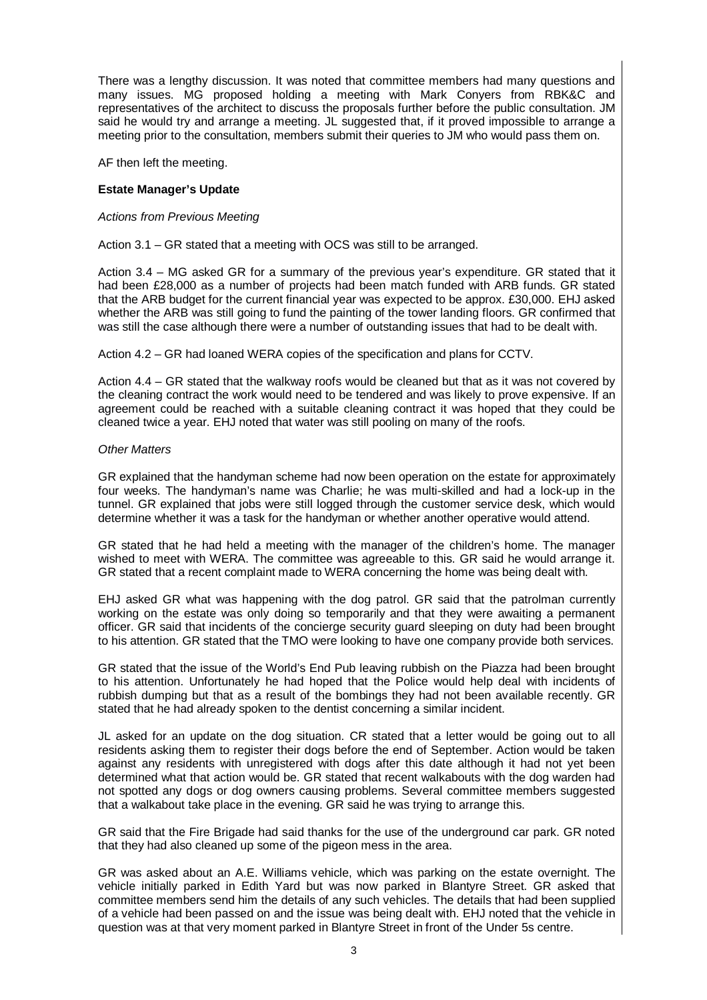There was a lengthy discussion. It was noted that committee members had many questions and many issues. MG proposed holding a meeting with Mark Conyers from RBK&C and representatives of the architect to discuss the proposals further before the public consultation. JM said he would try and arrange a meeting. JL suggested that, if it proved impossible to arrange a meeting prior to the consultation, members submit their queries to JM who would pass them on.

AF then left the meeting.

## **Estate Manager's Update**

#### Actions from Previous Meeting

Action 3.1 – GR stated that a meeting with OCS was still to be arranged.

Action 3.4 – MG asked GR for a summary of the previous year's expenditure. GR stated that it had been £28,000 as a number of projects had been match funded with ARB funds. GR stated that the ARB budget for the current financial year was expected to be approx. £30,000. EHJ asked whether the ARB was still going to fund the painting of the tower landing floors. GR confirmed that was still the case although there were a number of outstanding issues that had to be dealt with.

Action 4.2 – GR had loaned WERA copies of the specification and plans for CCTV.

Action 4.4 – GR stated that the walkway roofs would be cleaned but that as it was not covered by the cleaning contract the work would need to be tendered and was likely to prove expensive. If an agreement could be reached with a suitable cleaning contract it was hoped that they could be cleaned twice a year. EHJ noted that water was still pooling on many of the roofs.

#### Other Matters

GR explained that the handyman scheme had now been operation on the estate for approximately four weeks. The handyman's name was Charlie; he was multi-skilled and had a lock-up in the tunnel. GR explained that jobs were still logged through the customer service desk, which would determine whether it was a task for the handyman or whether another operative would attend.

GR stated that he had held a meeting with the manager of the children's home. The manager wished to meet with WERA. The committee was agreeable to this. GR said he would arrange it. GR stated that a recent complaint made to WERA concerning the home was being dealt with.

EHJ asked GR what was happening with the dog patrol. GR said that the patrolman currently working on the estate was only doing so temporarily and that they were awaiting a permanent officer. GR said that incidents of the concierge security guard sleeping on duty had been brought to his attention. GR stated that the TMO were looking to have one company provide both services.

GR stated that the issue of the World's End Pub leaving rubbish on the Piazza had been brought to his attention. Unfortunately he had hoped that the Police would help deal with incidents of rubbish dumping but that as a result of the bombings they had not been available recently. GR stated that he had already spoken to the dentist concerning a similar incident.

JL asked for an update on the dog situation. CR stated that a letter would be going out to all residents asking them to register their dogs before the end of September. Action would be taken against any residents with unregistered with dogs after this date although it had not yet been determined what that action would be. GR stated that recent walkabouts with the dog warden had not spotted any dogs or dog owners causing problems. Several committee members suggested that a walkabout take place in the evening. GR said he was trying to arrange this.

GR said that the Fire Brigade had said thanks for the use of the underground car park. GR noted that they had also cleaned up some of the pigeon mess in the area.

GR was asked about an A.E. Williams vehicle, which was parking on the estate overnight. The vehicle initially parked in Edith Yard but was now parked in Blantyre Street. GR asked that committee members send him the details of any such vehicles. The details that had been supplied of a vehicle had been passed on and the issue was being dealt with. EHJ noted that the vehicle in question was at that very moment parked in Blantyre Street in front of the Under 5s centre.